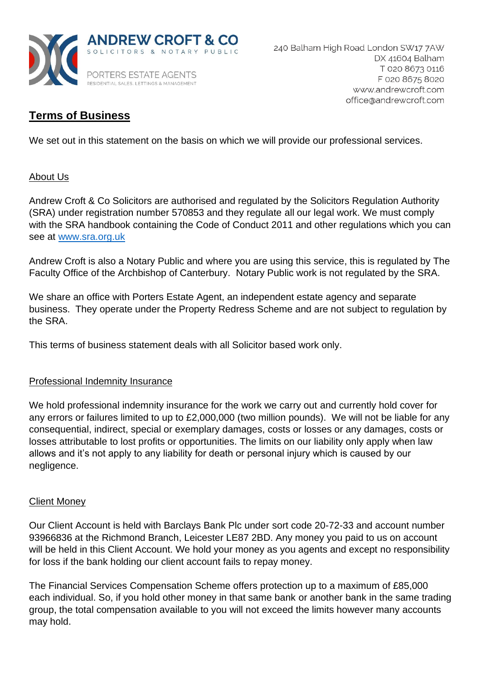

# **Terms of Business**

We set out in this statement on the basis on which we will provide our professional services.

# About Us

Andrew Croft & Co Solicitors are authorised and regulated by the Solicitors Regulation Authority (SRA) under registration number 570853 and they regulate all our legal work. We must comply with the SRA handbook containing the Code of Conduct 2011 and other regulations which you can see at [www.sra.org.uk](http://www.sra.org.uk/)

Andrew Croft is also a Notary Public and where you are using this service, this is regulated by The Faculty Office of the Archbishop of Canterbury. Notary Public work is not regulated by the SRA.

We share an office with Porters Estate Agent, an independent estate agency and separate business. They operate under the Property Redress Scheme and are not subject to regulation by the SRA.

This terms of business statement deals with all Solicitor based work only.

# Professional Indemnity Insurance

We hold professional indemnity insurance for the work we carry out and currently hold cover for any errors or failures limited to up to £2,000,000 (two million pounds). We will not be liable for any consequential, indirect, special or exemplary damages, costs or losses or any damages, costs or losses attributable to lost profits or opportunities. The limits on our liability only apply when law allows and it's not apply to any liability for death or personal injury which is caused by our negligence.

# Client Money

Our Client Account is held with Barclays Bank Plc under sort code 20-72-33 and account number 93966836 at the Richmond Branch, Leicester LE87 2BD. Any money you paid to us on account will be held in this Client Account. We hold your money as you agents and except no responsibility for loss if the bank holding our client account fails to repay money.

The Financial Services Compensation Scheme offers protection up to a maximum of £85,000 each individual. So, if you hold other money in that same bank or another bank in the same trading group, the total compensation available to you will not exceed the limits however many accounts may hold.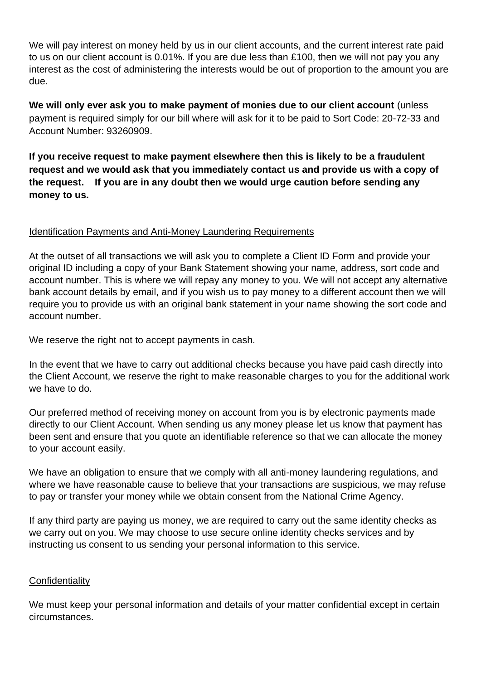We will pay interest on money held by us in our client accounts, and the current interest rate paid to us on our client account is 0.01%. If you are due less than £100, then we will not pay you any interest as the cost of administering the interests would be out of proportion to the amount you are due.

**We will only ever ask you to make payment of monies due to our client account** (unless payment is required simply for our bill where will ask for it to be paid to Sort Code: 20-72-33 and Account Number: 93260909.

**If you receive request to make payment elsewhere then this is likely to be a fraudulent request and we would ask that you immediately contact us and provide us with a copy of the request. If you are in any doubt then we would urge caution before sending any money to us.**

# Identification Payments and Anti-Money Laundering Requirements

At the outset of all transactions we will ask you to complete a Client ID Form and provide your original ID including a copy of your Bank Statement showing your name, address, sort code and account number. This is where we will repay any money to you. We will not accept any alternative bank account details by email, and if you wish us to pay money to a different account then we will require you to provide us with an original bank statement in your name showing the sort code and account number.

We reserve the right not to accept payments in cash.

In the event that we have to carry out additional checks because you have paid cash directly into the Client Account, we reserve the right to make reasonable charges to you for the additional work we have to do.

Our preferred method of receiving money on account from you is by electronic payments made directly to our Client Account. When sending us any money please let us know that payment has been sent and ensure that you quote an identifiable reference so that we can allocate the money to your account easily.

We have an obligation to ensure that we comply with all anti-money laundering regulations, and where we have reasonable cause to believe that your transactions are suspicious, we may refuse to pay or transfer your money while we obtain consent from the National Crime Agency.

If any third party are paying us money, we are required to carry out the same identity checks as we carry out on you. We may choose to use secure online identity checks services and by instructing us consent to us sending your personal information to this service.

# **Confidentiality**

We must keep your personal information and details of your matter confidential except in certain circumstances.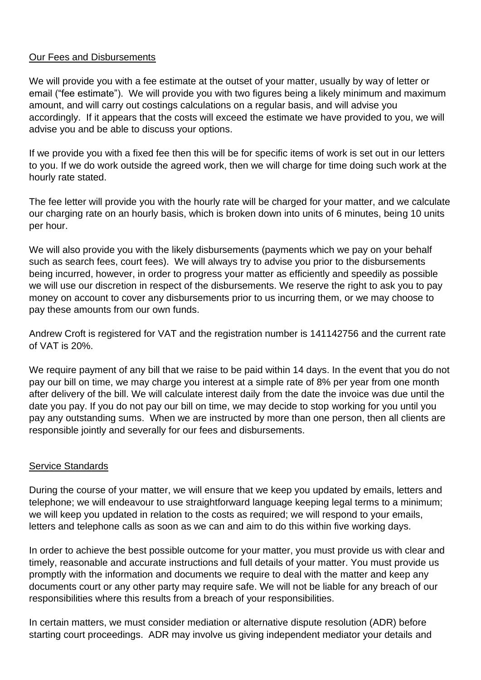### Our Fees and Disbursements

We will provide you with a fee estimate at the outset of your matter, usually by way of letter or email ("fee estimate"). We will provide you with two figures being a likely minimum and maximum amount, and will carry out costings calculations on a regular basis, and will advise you accordingly. If it appears that the costs will exceed the estimate we have provided to you, we will advise you and be able to discuss your options.

If we provide you with a fixed fee then this will be for specific items of work is set out in our letters to you. If we do work outside the agreed work, then we will charge for time doing such work at the hourly rate stated.

The fee letter will provide you with the hourly rate will be charged for your matter, and we calculate our charging rate on an hourly basis, which is broken down into units of 6 minutes, being 10 units per hour.

We will also provide you with the likely disbursements (payments which we pay on your behalf such as search fees, court fees). We will always try to advise you prior to the disbursements being incurred, however, in order to progress your matter as efficiently and speedily as possible we will use our discretion in respect of the disbursements. We reserve the right to ask you to pay money on account to cover any disbursements prior to us incurring them, or we may choose to pay these amounts from our own funds.

Andrew Croft is registered for VAT and the registration number is 141142756 and the current rate of VAT is 20%.

We require payment of any bill that we raise to be paid within 14 days. In the event that you do not pay our bill on time, we may charge you interest at a simple rate of 8% per year from one month after delivery of the bill. We will calculate interest daily from the date the invoice was due until the date you pay. If you do not pay our bill on time, we may decide to stop working for you until you pay any outstanding sums. When we are instructed by more than one person, then all clients are responsible jointly and severally for our fees and disbursements.

# Service Standards

During the course of your matter, we will ensure that we keep you updated by emails, letters and telephone; we will endeavour to use straightforward language keeping legal terms to a minimum; we will keep you updated in relation to the costs as required; we will respond to your emails, letters and telephone calls as soon as we can and aim to do this within five working days.

In order to achieve the best possible outcome for your matter, you must provide us with clear and timely, reasonable and accurate instructions and full details of your matter. You must provide us promptly with the information and documents we require to deal with the matter and keep any documents court or any other party may require safe. We will not be liable for any breach of our responsibilities where this results from a breach of your responsibilities.

In certain matters, we must consider mediation or alternative dispute resolution (ADR) before starting court proceedings. ADR may involve us giving independent mediator your details and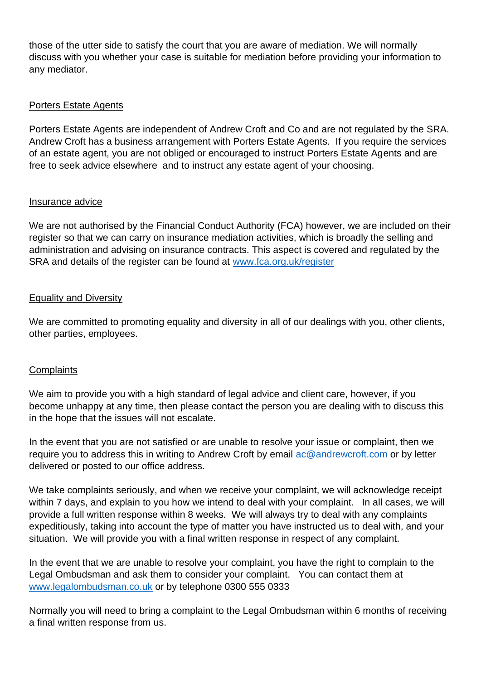those of the utter side to satisfy the court that you are aware of mediation. We will normally discuss with you whether your case is suitable for mediation before providing your information to any mediator.

# Porters Estate Agents

Porters Estate Agents are independent of Andrew Croft and Co and are not regulated by the SRA. Andrew Croft has a business arrangement with Porters Estate Agents. If you require the services of an estate agent, you are not obliged or encouraged to instruct Porters Estate Agents and are free to seek advice elsewhere and to instruct any estate agent of your choosing.

### Insurance advice

We are not authorised by the Financial Conduct Authority (FCA) however, we are included on their register so that we can carry on insurance mediation activities, which is broadly the selling and administration and advising on insurance contracts. This aspect is covered and regulated by the SRA and details of the register can be found at [www.fca.org.uk/register](http://www.fca.org.uk/register)

### Equality and Diversity

We are committed to promoting equality and diversity in all of our dealings with you, other clients, other parties, employees.

### **Complaints**

We aim to provide you with a high standard of legal advice and client care, however, if you become unhappy at any time, then please contact the person you are dealing with to discuss this in the hope that the issues will not escalate.

In the event that you are not satisfied or are unable to resolve your issue or complaint, then we require you to address this in writing to Andrew Croft by email  $\frac{a \in \mathcal{Q}}{a}$  andrewcroft.com or by letter delivered or posted to our office address.

We take complaints seriously, and when we receive your complaint, we will acknowledge receipt within 7 days, and explain to you how we intend to deal with your complaint. In all cases, we will provide a full written response within 8 weeks. We will always try to deal with any complaints expeditiously, taking into account the type of matter you have instructed us to deal with, and your situation. We will provide you with a final written response in respect of any complaint.

In the event that we are unable to resolve your complaint, you have the right to complain to the Legal Ombudsman and ask them to consider your complaint. You can contact them at [www.legalombudsman.co.uk](http://www.legalombudsman.co.uk/) or by telephone 0300 555 0333

Normally you will need to bring a complaint to the Legal Ombudsman within 6 months of receiving a final written response from us.